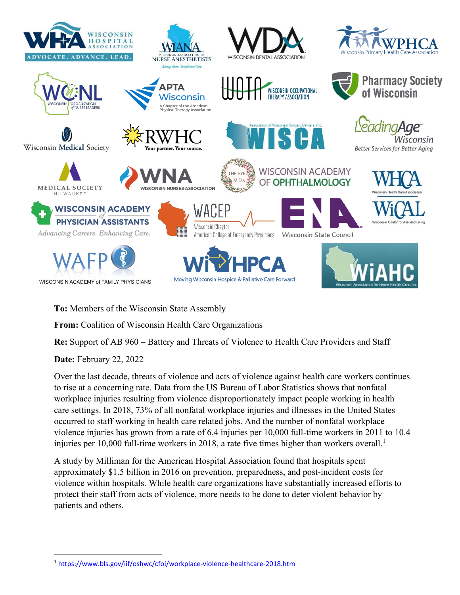

**To:** Members of the Wisconsin State Assembly

**From:** Coalition of Wisconsin Health Care Organizations

**Re:** Support of AB 960 – Battery and Threats of Violence to Health Care Providers and Staff

**Date:** February 22, 2022

Over the last decade, threats of violence and acts of violence against health care workers continues to rise at a concerning rate. Data from the US Bureau of Labor Statistics shows that nonfatal workplace injuries resulting from violence disproportionately impact people working in health care settings. In 2018, 73% of all nonfatal workplace injuries and illnesses in the United States occurred to staff working in health care related jobs. And the number of nonfatal workplace violence injuries has grown from a rate of 6.4 injuries per 10,000 full-time workers in 2011 to 10.4 injuries per 10,000 full-time workers in 2018, a rate five times higher than workers overall.<sup>1</sup>

A study by Milliman for the American Hospital Association found that hospitals spent approximately \$1.5 billion in 2016 on prevention, preparedness, and post-incident costs for violence within hospitals. While health care organizations have substantially increased efforts to protect their staff from acts of violence, more needs to be done to deter violent behavior by patients and others.

<sup>1</sup> <https://www.bls.gov/iif/oshwc/cfoi/workplace-violence-healthcare-2018.htm>